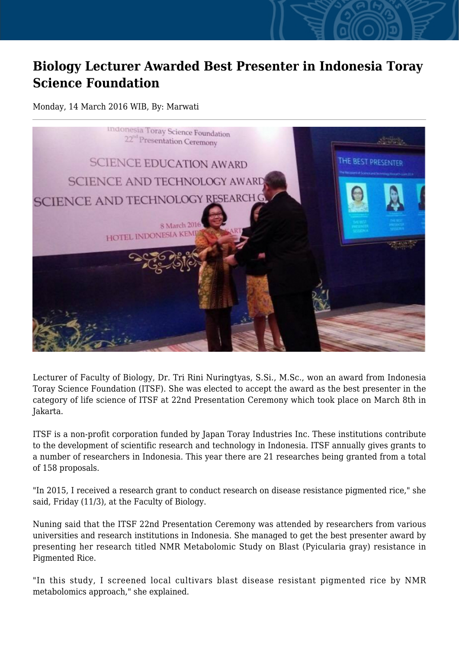## **Biology Lecturer Awarded Best Presenter in Indonesia Toray Science Foundation**

## Monday, 14 March 2016 WIB, By: Marwati



Lecturer of Faculty of Biology, Dr. Tri Rini Nuringtyas, S.Si., M.Sc., won an award from Indonesia Toray Science Foundation (ITSF). She was elected to accept the award as the best presenter in the category of life science of ITSF at 22nd Presentation Ceremony which took place on March 8th in Jakarta.

ITSF is a non-profit corporation funded by Japan Toray Industries Inc. These institutions contribute to the development of scientific research and technology in Indonesia. ITSF annually gives grants to a number of researchers in Indonesia. This year there are 21 researches being granted from a total of 158 proposals.

"In 2015, I received a research grant to conduct research on disease resistance pigmented rice," she said, Friday (11/3), at the Faculty of Biology.

Nuning said that the ITSF 22nd Presentation Ceremony was attended by researchers from various universities and research institutions in Indonesia. She managed to get the best presenter award by presenting her research titled NMR Metabolomic Study on Blast (Pyicularia gray) resistance in Pigmented Rice.

"In this study, I screened local cultivars blast disease resistant pigmented rice by NMR metabolomics approach," she explained.